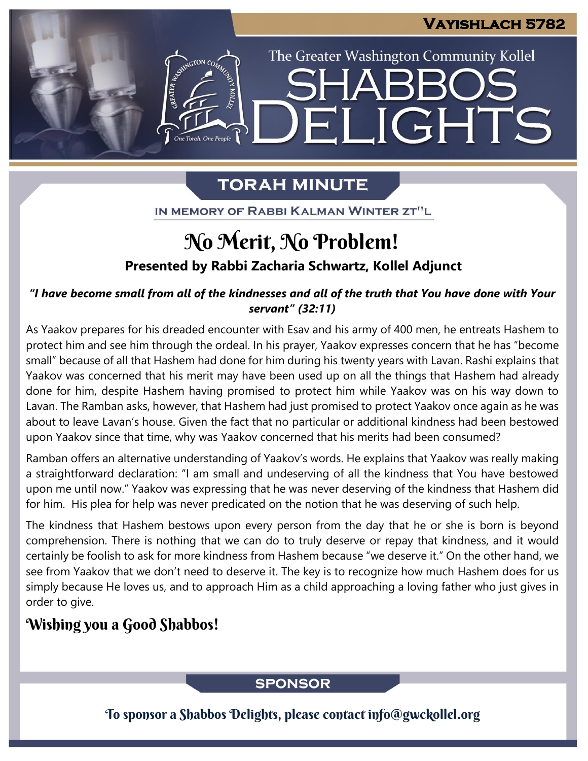IGHTS

The Greater Washington Community Kollel

# **TORAH MINUTE**

FI

IN MEMORY OF RABBI KALMAN WINTER ZT"L

# **Presented by Rabbi Zacharia Schwartz, Kollel Adjunct** No Merit, No Problem!

*"I have become small from all of the kindnesses and all of the truth that You have done with Your servant" (32:11)*

As Yaakov prepares for his dreaded encounter with Esav and his army of 400 men, he entreats Hashem to protect him and see him through the ordeal. In his prayer, Yaakov expresses concern that he has "become small" because of all that Hashem had done for him during his twenty years with Lavan. Rashi explains that Yaakov was concerned that his merit may have been used up on all the things that Hashem had already done for him, despite Hashem having promised to protect him while Yaakov was on his way down to Lavan. The Ramban asks, however, that Hashem had just promised to protect Yaakov once again as he was about to leave Lavan's house. Given the fact that no particular or additional kindness had been bestowed upon Yaakov since that time, why was Yaakov concerned that his merits had been consumed?

Ramban offers an alternative understanding of Yaakov's words. He explains that Yaakov was really making a straightforward declaration: "I am small and undeserving of all the kindness that You have bestowed upon me until now." Yaakov was expressing that he was never deserving of the kindness that Hashem did for him. His plea for help was never predicated on the notion that he was deserving of such help.

The kindness that Hashem bestows upon every person from the day that he or she is born is beyond comprehension. There is nothing that we can do to truly deserve or repay that kindness, and it would certainly be foolish to ask for more kindness from Hashem because "we deserve it." On the other hand, we see from Yaakov that we don't need to deserve it. The key is to recognize how much Hashem does for us simply because He loves us, and to approach Him as a child approaching a loving father who just gives in order to give.

## Wishing you a Good Shabbos!

## **SPONSOR**

To sponsor a Shabbos Delights, please contact info@gwckollel.org